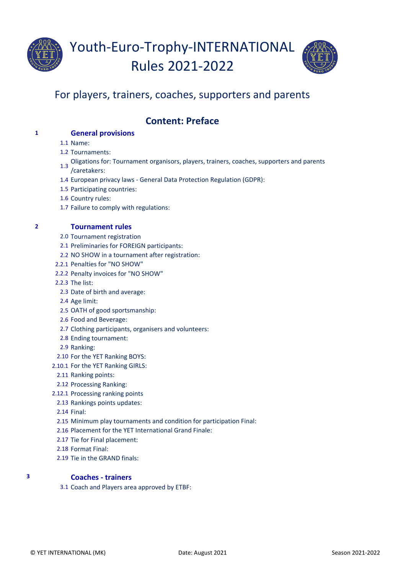



# For players, trainers, coaches, supporters and parents

# **Content: Preface**

# **1 General provisions**

1.1 Name:

- 1.2 Tournaments:
- Oligations for: Tournament organisors, players, trainers, coaches, supporters and parents<br>1.3 Kennels on /caretakers:
- 1.4 European privacy laws General Data Protection Regulation (GDPR):
- 1.5 Participating countries:
- 1.6 Country rules:
- 1.7 Failure to comply with regulations:

# **2 Tournament rules**

- 2.0 Tournament registration
- 2.1 Preliminaries for FOREIGN participants:
- 2.2 NO SHOW in a tournament after registration:
- 2.2.1 Penalties for "NO SHOW"
- 2.2.2 Penalty invoices for "NO SHOW"
- 2.2.3 The list:
	- 2.3 Date of birth and average:
	- 2.4 Age limit:
	- 2.5 OATH of good sportsmanship:
	- 2.6 Food and Beverage:
- 2.7 Clothing participants, organisers and volunteers:
- 2.8 Ending tournament:
- 2.9 Ranking:
- 2.10 For the YET Ranking BOYS:
- 2.10.1 For the YET Ranking GIRLS:
	- 2.11 Ranking points:
	- 2.12 Processing Ranking:
- 2.12.1 Processing ranking points
- 2.13 Rankings points updates:
- 2.14 Final:
- 2.15 Minimum play tournaments and condition for participation Final:
- 2.16 Placement for the YET International Grand Finale:
- 2.17 Tie for Final placement:
- 2.18 Format Final:
- 2.19 Tie in the GRAND finals:

# **3 Coaches - trainers**

3.1 Coach and Players area approved by ETBF: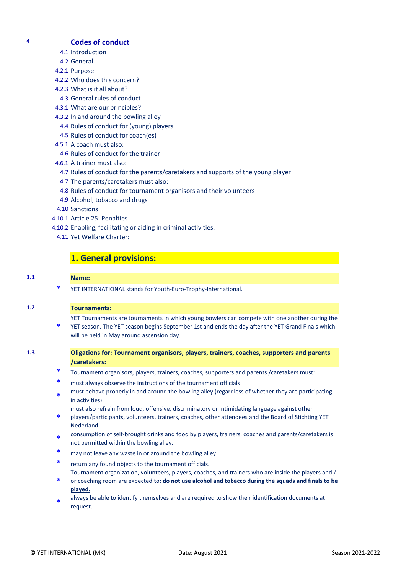### **4 Codes of conduct**

- 4.1 Introduction
- 4.2 General
- 4.2.1 Purpose
- 4.2.2 Who does this concern?
- 4.2.3 What is it all about?
- 4.3 General rules of conduct
- 4.3.1 What are our principles?
- 4.3.2 In and around the bowling alley
- 4.4 Rules of conduct for (young) players
- 4.5 Rules of conduct for coach(es)
- 4.5.1 A coach must also:
- 4.6 Rules of conduct for the trainer
- 4.6.1 A trainer must also:
	- 4.7 Rules of conduct for the parents/caretakers and supports of the young player
- 4.7 The parents/caretakers must also:
- 4.8 Rules of conduct for tournament organisors and their volunteers
- 4.9 Alcohol, tobacco and drugs
- 4.10 Sanctions
- 4.10.1 Article 25: Penalties
- 4.10.2 Enabling, facilitating or aiding in criminal activities.
	- 4.11 Yet Welfare Charter:

# **1. General provisions:**

#### **1.1 Name:**

**\*** YET INTERNATIONAL stands for Youth-Euro-Trophy-International.

#### **1.2 Tournaments:**

YET Tournaments are tournaments in which young bowlers can compete with one another during the

- **\*** YET season. The YET season begins September 1st and ends the day after the YET Grand Finals which will be held in May around ascension day.
- **1.3 Oligations for: Tournament organisors, players, trainers, coaches, supporters and parents /caretakers:**
	- **\*** Tournament organisors, players, trainers, coaches, supporters and parents /caretakers must:
	- **\*** must always observe the instructions of the tournament officials
	- **\*** must behave properly in and around the bowling alley (regardless of whether they are participating in activities).
	- must also refrain from loud, offensive, discriminatory or intimidating language against other
	- **\*** players/participants, volunteers, trainers, coaches, other attendees and the Board of Stichting YET Nederland.
	- **\*** consumption of self-brought drinks and food by players, trainers, coaches and parents/caretakers is not permitted within the bowling alley.
	- **\*** may not leave any waste in or around the bowling alley.
	- **\*** return any found objects to the tournament officials. Tournament organization, volunteers, players, coaches, and trainers who are inside the players and /
	- **\*** or coaching room are expected to: **do not use alcohol and tobacco during the squads and finals to be played.**
	- **\*** always be able to identify themselves and are required to show their identification documents at request.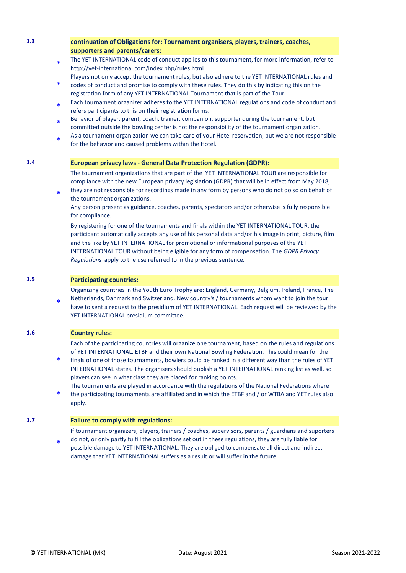# **1.3 continuation of Obligations for: Tournament organisers, players, trainers, coaches, supporters and parents/carers:**

- **\*** [The YET INTERNATIONAL code of conduct applies to this tournament, for more information, refer to](http://yet-international.com/index.php/rules.html)  <http://yet-international.com/index.php/rules.html>
- Players not only accept the tournament rules, but also adhere to the YET INTERNATIONAL rules and
- **\*** codes of conduct and promise to comply with these rules. They do this by indicating this on the registration form of any YET INTERNATIONAL Tournament that is part of the Tour.
- **\*** Each tournament organizer adheres to the YET INTERNATIONAL regulations and code of conduct and refers participants to this on their registration forms.
- **\*** Behavior of player, parent, coach, trainer, companion, supporter during the tournament, but committed outside the bowling center is not the responsibility of the tournament organization.
- **\*** As a tournament organization we can take care of your Hotel reservation, but we are not responsible for the behavior and caused problems within the Hotel.

#### **1.4 European privacy laws - General Data Protection Regulation (GDPR):**

The tournament organizations that are part of the YET INTERNATIONAL TOUR are responsible for compliance with the new European privacy legislation (GDPR) that will be in effect from May 2018, they are not responsible for recordings made in any form by persons who do not do so on behalf of

the tournament organizations.

Any person present as guidance, coaches, parents, spectators and/or otherwise is fully responsible for compliance.

By registering for one of the tournaments and finals within the YET INTERNATIONAL TOUR, the participant automatically accepts any use of his personal data and/or his image in print, picture, film and the like by YET INTERNATIONAL for promotional or informational purposes of the YET INTERNATIONAL TOUR without being eligible for any form of compensation. The *GDPR Privacy Regulations* apply to the use referred to in the previous sentence.

**1.5 Participating countries:**

**\***

Organizing countries in the Youth Euro Trophy are: England, Germany, Belgium, Ireland, France, The

**\*** Netherlands, Danmark and Switzerland. New country's / tournaments whom want to join the tour have to sent a request to the presidium of YET INTERNATIONAL. Each request will be reviewed by the YET INTERNATIONAL presidium committee.

#### **1.6 Country rules:**

Each of the participating countries will organize one tournament, based on the rules and regulations of YET INTERNATIONAL, ETBF and their own National Bowling Federation. This could mean for the

- **\*** finals of one of those tournaments, bowlers could be ranked in a different way than the rules of YET INTERNATIONAL states. The organisers should publish a YET INTERNATIONAL ranking list as well, so players can see in what class they are placed for ranking points.
- **\*** The tournaments are played in accordance with the regulations of the National Federations where the participating tournaments are affiliated and in which the ETBF and / or WTBA and YET rules also apply.

#### **1.7 Failure to comply with regulations:**

If tournament organizers, players, trainers / coaches, supervisors, parents / guardians and suporters do not, or only partly fulfill the obligations set out in these regulations, they are fully liable for

**\*** possible damage to YET INTERNATIONAL. They are obliged to compensate all direct and indirect damage that YET INTERNATIONAL suffers as a result or will suffer in the future.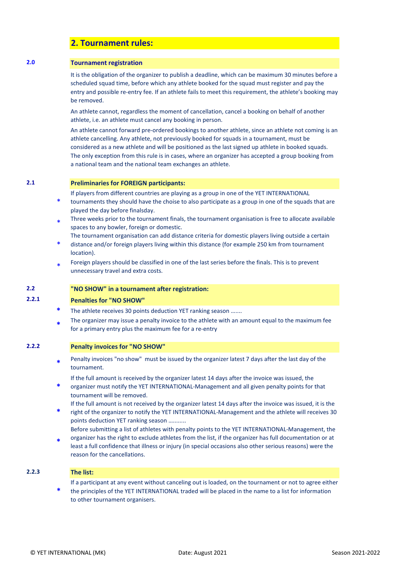# **2. Tournament rules:**

#### **2.0 Tournament registration**

It is the obligation of the organizer to publish a deadline, which can be maximum 30 minutes before a scheduled squad time, before which any athlete booked for the squad must register and pay the entry and possible re-entry fee. If an athlete fails to meet this requirement, the athlete's booking may be removed.

An athlete cannot, regardless the moment of cancellation, cancel a booking on behalf of another athlete, i.e. an athlete must cancel any booking in person.

An athlete cannot forward pre-ordered bookings to another athlete, since an athlete not coming is an athlete cancelling. Any athlete, not previously booked for squads in a tournament, must be considered as a new athlete and will be positioned as the last signed up athlete in booked squads. The only exception from this rule is in cases, where an organizer has accepted a group booking from a national team and the national team exchanges an athlete.

#### **2.1 Preliminaries for FOREIGN participants:**

If players from different countries are playing as a group in one of the YET INTERNATIONAL

- \* tournaments they should have the choise to also participate as a group in one of the squads that are played the day before finalsday.
- \* Three weeks prior to the tournament finals, the tournament organisation is free to allocate available spaces to any bowler, foreign or domestic.
- The tournament organisation can add distance criteria for domestic players living outside a certain
- \* distance and/or foreign players living within this distance (for example 250 km from tournament location).
- \* Foreign players should be classified in one of the last series before the finals. This is to prevent unnecessary travel and extra costs.

#### **2.2 "NO SHOW" in a tournament after registration:**

#### **2.2.1 Penalties for "NO SHOW"**

- The athlete receives 30 points deduction YET ranking season …....
- **\*** The organizer may issue a penalty invoice to the athlete with an amount equal to the maximum fee for a primary entry plus the maximum fee for a re-entry

#### **2.2.2 Penalty invoices for "NO SHOW"**

**\*** Penalty invoices "no show" must be issued by the organizer latest 7 days after the last day of the tournament.

If the full amount is received by the organizer latest 14 days after the invoice was issued, the

- **\*** organizer must notify the YET INTERNATIONAL-Management and all given penalty points for that tournament will be removed.
- If the full amount is not received by the organizer latest 14 days after the invoice was issued, it is the
- **\*** right of the organizer to notify the YET INTERNATIONAL-Management and the athlete will receives 30 points deduction YET ranking season …........ Before submitting a list of athletes with penalty points to the YET INTERNATIONAL-Management, the
- **\*** organizer has the right to exclude athletes from the list, if the organizer has full documentation or at least a full confidence that illness or injury (in special occasions also other serious reasons) were the reason for the cancellations.
- 

### **2.2.3 The list:**

If a participant at any event without canceling out is loaded, on the tournament or not to agree either

**\*** the principles of the YET INTERNATIONAL traded will be placed in the name to a list for information to other tournament organisers.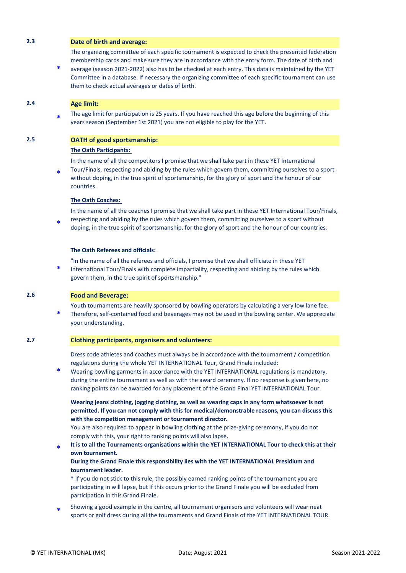#### **2.3 Date of birth and average:**

The organizing committee of each specific tournament is expected to check the presented federation membership cards and make sure they are in accordance with the entry form. The date of birth and

**\*** average (season 2021-2022) also has to be checked at each entry. This data is maintained by the YET Committee in a database. If necessary the organizing committee of each specific tournament can use them to check actual averages or dates of birth.

#### **2.4 Age limit:**

**\*** The age limit for participation is 25 years. If you have reached this age before the beginning of this years season (September 1st 2021) you are not eligible to play for the YET.

#### **2.5 OATH of good sportsmanship:**

#### **The Oath Participants:**

In the name of all the competitors I promise that we shall take part in these YET International

**\*** Tour/Finals, respecting and abiding by the rules which govern them, committing ourselves to a sport without doping, in the true spirit of sportsmanship, for the glory of sport and the honour of our countries.

#### **The Oath Coaches:**

In the name of all the coaches I promise that we shall take part in these YET International Tour/Finals, respecting and abiding by the rules which govern them, committing ourselves to a sport without

**\*** doping, in the true spirit of sportsmanship, for the glory of sport and the honour of our countries.

#### **The Oath Referees and officials:**

"In the name of all the referees and officials, I promise that we shall officiate in these YET

**\*** International Tour/Finals with complete impartiality, respecting and abiding by the rules which govern them, in the true spirit of sportsmanship."

### **2.6 Food and Beverage:**

Youth tournaments are heavily sponsored by bowling operators by calculating a very low lane fee.

**\*** Therefore, self-contained food and beverages may not be used in the bowling center. We appreciate your understanding.

#### **2.7 Clothing participants, organisers and volunteers:**

Dress code athletes and coaches must always be in accordance with the tournament / competition regulations during the whole YET INTERNATIONAL Tour, Grand Finale included:

**\*** Wearing bowling garments in accordance with the YET INTERNATIONAL regulations is mandatory, during the entire tournament as well as with the award ceremony. If no response is given here, no ranking points can be awarded for any placement of the Grand Final YET INTERNATIONAL Tour.

**Wearing jeans clothing, jogging clothing, as well as wearing caps in any form whatsoever is not permitted. If you can not comply with this for medical/demonstrable reasons, you can discuss this with the compettion management or tournament director.**

You are also required to appear in bowling clothing at the prize-giving ceremony, if you do not comply with this, your right to ranking points will also lapse.

**\* It is to all the Tournaments organisations within the YET INTERNATIONAL Tour to check this at their own tournament.** 

#### **During the Grand Finale this responsibility lies with the YET INTERNATIONAL Presidium and tournament leader.**

\* If you do not stick to this rule, the possibly earned ranking points of the tournament you are participating in will lapse, but if this occurs prior to the Grand Finale you will be excluded from participation in this Grand Finale.

**\*** Showing a good example in the centre, all tournament organisors and volunteers will wear neat sports or golf dress during all the tournaments and Grand Finals of the YET INTERNATIONAL TOUR.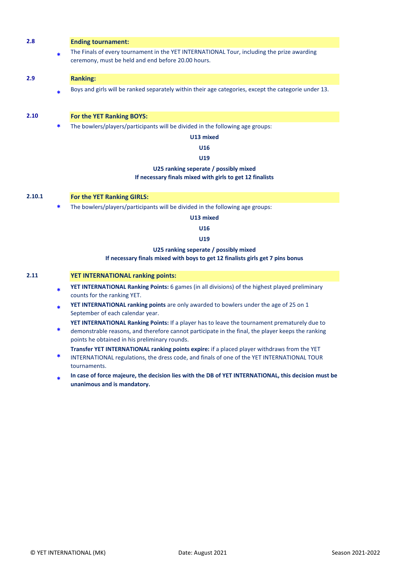| 2.8    |        | <b>Ending tournament:</b>                                                                                                                        |
|--------|--------|--------------------------------------------------------------------------------------------------------------------------------------------------|
|        | $\ast$ | The Finals of every tournament in the YET INTERNATIONAL Tour, including the prize awarding<br>ceremony, must be held and end before 20.00 hours. |
| 2.9    |        | <b>Ranking:</b>                                                                                                                                  |
|        | $\ast$ | Boys and girls will be ranked separately within their age categories, except the categorie under 13.                                             |
| 2.10   |        | For the YET Ranking BOYS:                                                                                                                        |
|        | ∗      | The bowlers/players/participants will be divided in the following age groups:                                                                    |
|        |        | U13 mixed                                                                                                                                        |
|        |        | U16                                                                                                                                              |
|        |        | U19                                                                                                                                              |
|        |        | U25 ranking seperate / possibly mixed                                                                                                            |
|        |        | If necessary finals mixed with girls to get 12 finalists                                                                                         |
| 2.10.1 |        | For the YET Ranking GIRLS:                                                                                                                       |
|        | ∗      | The bowlers/players/participants will be divided in the following age groups:                                                                    |
|        |        | U13 mixed                                                                                                                                        |
|        |        | U16                                                                                                                                              |
|        |        | U19                                                                                                                                              |
|        |        | U25 ranking seperate / possibly mixed<br>If necessary finals mixed with boys to get 12 finalists girls get 7 pins bonus                          |
|        |        |                                                                                                                                                  |

## **2.11 YET INTERNATIONAL ranking points:**

- **\* YET INTERNATIONAL Ranking Points:** 6 games (in all divisions) of the highest played preliminary counts for the ranking YET.
- **\* YET INTERNATIONAL ranking points** are only awarded to bowlers under the age of 25 on 1 September of each calendar year.

**YET INTERNATIONAL Ranking Points:** If a player has to leave the tournament prematurely due to

**\*** demonstrable reasons, and therefore cannot participate in the final, the player keeps the ranking points he obtained in his preliminary rounds.

**Transfer YET INTERNATIONAL ranking points expire:** if a placed player withdraws from the YET

- **\*** INTERNATIONAL regulations, the dress code, and finals of one of the YET INTERNATIONAL TOUR tournaments.
- **\* In case of force majeure, the decision lies with the DB of YET INTERNATIONAL, this decision must be unanimous and is mandatory.**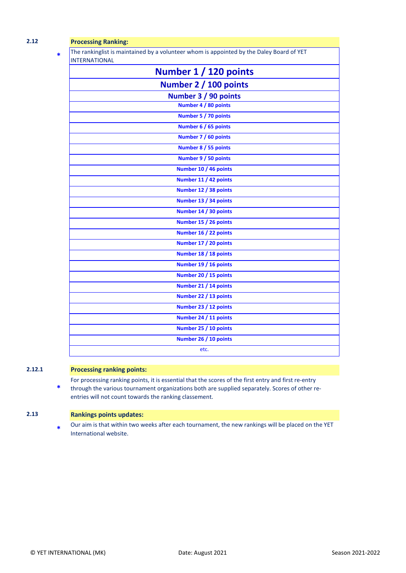**\***

# **2.12 Processing Ranking:**

The rankinglist is maintained by a volunteer whom is appointed by the Daley Board of YET INTERNATIONAL

| Number 1 / 120 points |
|-----------------------|
| Number 2 / 100 points |
| Number 3 / 90 points  |
| Number 4 / 80 points  |
| Number 5 / 70 points  |
| Number 6 / 65 points  |
| Number 7 / 60 points  |
| Number 8 / 55 points  |
| Number 9 / 50 points  |
| Number 10 / 46 points |
| Number 11 / 42 points |
| Number 12 / 38 points |
| Number 13 / 34 points |
| Number 14 / 30 points |
| Number 15 / 26 points |
| Number 16 / 22 points |
| Number 17 / 20 points |
| Number 18 / 18 points |
| Number 19 / 16 points |
| Number 20 / 15 points |
| Number 21 / 14 points |
| Number 22 / 13 points |
| Number 23 / 12 points |
| Number 24 / 11 points |
| Number 25 / 10 points |
| Number 26 / 10 points |
| etc.                  |

# **2.12.1 Processing ranking points:**

**\*** For processing ranking points, it is essential that the scores of the first entry and first re-entry through the various tournament organizations both are supplied separately. Scores of other reentries will not count towards the ranking classement.

### **2.13 Rankings points updates:**

**\*** Our aim is that within two weeks after each tournament, the new rankings will be placed on the YET International website.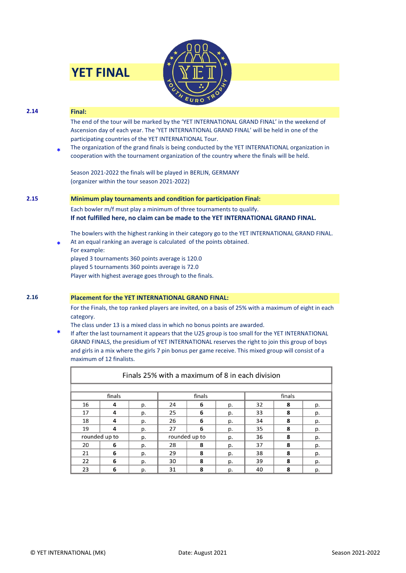| <b>YET FINAL</b> |  |
|------------------|--|
|                  |  |



# **2.14 Final: \*** The end of the tour will be marked by the 'YET INTERNATIONAL GRAND FINAL' in the weekend of Ascension day of each year. The 'YET INTERNATIONAL GRAND FINAL' will be held in one of the participating countries of the YET INTERNATIONAL Tour. The organization of the grand finals is being conducted by the YET INTERNATIONAL organization in cooperation with the tournament organization of the country where the finals will be held. Season 2021-2022 the finals will be played in BERLIN, GERMANY (organizer within the tour season 2021-2022) **2.15 Minimum play tournaments and condition for participation Final: \*** Each bowler m/f must play a minimum of three tournaments to qualify. **If not fulfilled here, no claim can be made to the YET INTERNATIONAL GRAND FINAL.** The bowlers with the highest ranking in their category go to the YET INTERNATIONAL GRAND FINAL. At an equal ranking an average is calculated of the points obtained. For example: played 3 tournaments 360 points average is 120.0 played 5 tournaments 360 points average is 72.0 Player with highest average goes through to the finals. **2.16 Placement for the YET INTERNATIONAL GRAND FINAL:**  For the Finals, the top ranked players are invited, on a basis of 25% with a maximum of eight in each category.

The class under 13 is a mixed class in which no bonus points are awarded.

**\*** If after the last tournament it appears that the U25 group is too small for the YET INTERNATIONAL GRAND FINALS, the presidium of YET INTERNATIONAL reserves the right to join this group of boys and girls in a mix where the girls 7 pin bonus per game receive. This mixed group will consist of a maximum of 12 finalists.

| Finals 25% with a maximum of 8 in each division |               |    |               |   |    |        |   |    |  |  |  |  |
|-------------------------------------------------|---------------|----|---------------|---|----|--------|---|----|--|--|--|--|
|                                                 |               |    |               |   |    |        |   |    |  |  |  |  |
|                                                 | finals        |    | finals        |   |    | finals |   |    |  |  |  |  |
| 16                                              | 4             | p. | 24            | 6 | p. | 32     | 8 | p. |  |  |  |  |
| 17                                              | 4             | p. | 25            | 6 | p. | 33     | 8 | p. |  |  |  |  |
| 18                                              | 4             | p. | 26            | 6 | p. | 34     | 8 | p. |  |  |  |  |
| 19                                              | 4             | p. | 27            | 6 | p. | 35     | 8 | p. |  |  |  |  |
|                                                 | rounded up to | p. | rounded up to |   | p. | 36     | 8 | p. |  |  |  |  |
| 20                                              | 6             | p. | 28            | 8 | p. | 37     | 8 | p. |  |  |  |  |
| 21                                              | 6             | p. | 29            | 8 | p. | 38     | 8 | p. |  |  |  |  |
| 22                                              | 6             | p. | 30            | 8 | p. | 39     | 8 | p. |  |  |  |  |
| 23                                              | 6             | p. | 31            | 8 | p. | 40     | 8 | p. |  |  |  |  |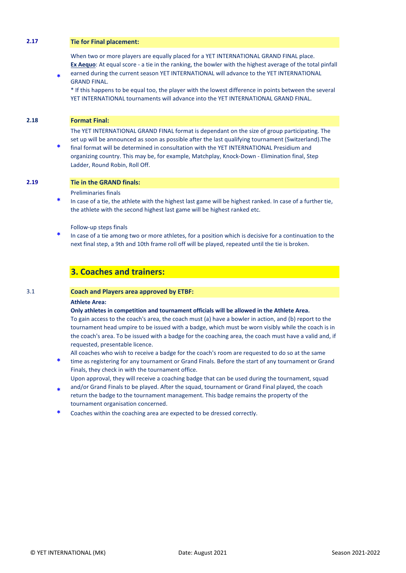## **2.17 Tie for Final placement:**

When two or more players are equally placed for a YET INTERNATIONAL GRAND FINAL place. **Ex Aequo**: At equal score - a tie in the ranking, the bowler with the highest average of the total pinfall

**\*** earned during the current season YET INTERNATIONAL will advance to the YET INTERNATIONAL GRAND FINAL.

\* If this happens to be equal too, the player with the lowest difference in points between the several YET INTERNATIONAL tournaments will advance into the YET INTERNATIONAL GRAND FINAL.

#### **2.18 Format Final:**

The YET INTERNATIONAL GRAND FINAL format is dependant on the size of group participating. The set up will be announced as soon as possible after the last qualifying tournament (Switzerland).The

**\*** final format will be determined in consultation with the YET INTERNATIONAL Presidium and organizing country. This may be, for example, Matchplay, Knock-Down - Elimination final, Step Ladder, Round Robin, Roll Off.

#### **2.19 Tie in the GRAND finals:**

Preliminaries finals

**\*** In case of a tie, the athlete with the highest last game will be highest ranked. In case of a further tie, the athlete with the second highest last game will be highest ranked etc.

Follow-up steps finals

**\*** In case of a tie among two or more athletes, for a position which is decisive for a continuation to the next final step, a 9th and 10th frame roll off will be played, repeated until the tie is broken.

# **3. Coaches and trainers:**

#### 3.1 **Coach and Players area approved by ETBF:**

#### **Athlete Area:**

**Only athletes in competition and tournament officials will be allowed in the Athlete Area.**

To gain access to the coach's area, the coach must (a) have a bowler in action, and (b) report to the tournament head umpire to be issued with a badge, which must be worn visibly while the coach is in the coach's area. To be issued with a badge for the coaching area, the coach must have a valid and, if requested, presentable licence.

**\*** All coaches who wish to receive a badge for the coach's room are requested to do so at the same time as registering for any tournament or Grand Finals. Before the start of any tournament or Grand Finals, they check in with the tournament office.

Upon approval, they will receive a coaching badge that can be used during the tournament, squad and/or Grand Finals to be played. After the squad, tournament or Grand Final played, the coach

- **\*** return the badge to the tournament management. This badge remains the property of the tournament organisation concerned.
- **\*** Coaches within the coaching area are expected to be dressed correctly.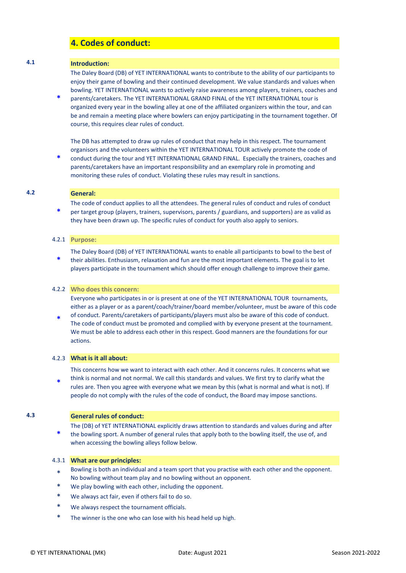# **4. Codes of conduct:**

#### **4.1 Introduction:**

The Daley Board (DB) of YET INTERNATIONAL wants to contribute to the ability of our participants to enjoy their game of bowling and their continued development. We value standards and values when bowling. YET INTERNATIONAL wants to actively raise awareness among players, trainers, coaches and

**\*** parents/caretakers. The YET INTERNATIONAL GRAND FINAL of the YET INTERNATIONAL tour is organized every year in the bowling alley at one of the affiliated organizers within the tour, and can be and remain a meeting place where bowlers can enjoy participating in the tournament together. Of course, this requires clear rules of conduct.

The DB has attempted to draw up rules of conduct that may help in this respect. The tournament organisors and the volunteers within the YET INTERNATIONAL TOUR actively promote the code of

**\*** conduct during the tour and YET INTERNATIONAL GRAND FINAL. Especially the trainers, coaches and parents/caretakers have an important responsibility and an exemplary role in promoting and monitoring these rules of conduct. Violating these rules may result in sanctions.

#### **4.2 General:**

**\***

The code of conduct applies to all the attendees. The general rules of conduct and rules of conduct per target group (players, trainers, supervisors, parents / guardians, and supporters) are as valid as they have been drawn up. The specific rules of conduct for youth also apply to seniors.

#### 4.2.1 **Purpose:**

**\*** The Daley Board (DB) of YET INTERNATIONAL wants to enable all participants to bowl to the best of their abilities. Enthusiasm, relaxation and fun are the most important elements. The goal is to let players participate in the tournament which should offer enough challenge to improve their game.

#### 4.2.2 **Who does this concern:**

Everyone who participates in or is present at one of the YET INTERNATIONAL TOUR tournaments, either as a player or as a parent/coach/trainer/board member/volunteer, must be aware of this code

**\*** of conduct. Parents/caretakers of participants/players must also be aware of this code of conduct. The code of conduct must be promoted and complied with by everyone present at the tournament. We must be able to address each other in this respect. Good manners are the foundations for our actions.

#### 4.2.3 **What is it all about:**

This concerns how we want to interact with each other. And it concerns rules. It concerns what we think is normal and not normal. We call this standards and values. We first try to clarify what the

**\*** rules are. Then you agree with everyone what we mean by this (what is normal and what is not). If people do not comply with the rules of the code of conduct, the Board may impose sanctions.

#### **4.3 General rules of conduct:**

**\*** The (DB) of YET INTERNATIONAL explicitly draws attention to standards and values during and after the bowling sport. A number of general rules that apply both to the bowling itself, the use of, and when accessing the bowling alleys follow below.

#### 4.3.1 **What are our principles:**

- \* Bowling is both an individual and a team sport that you practise with each other and the opponent. No bowling without team play and no bowling without an opponent.
- We play bowling with each other, including the opponent.
- We always act fair, even if others fail to do so.
- We always respect the tournament officials.
- The winner is the one who can lose with his head held up high.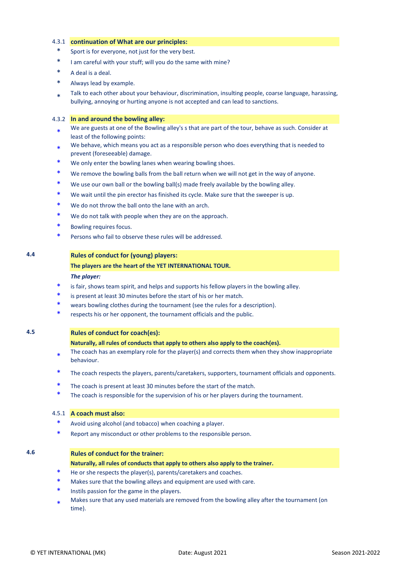#### 4.3.1 **continuation of What are our principles:**

- Sport is for everyone, not just for the very best.
- I am careful with your stuff; will you do the same with mine?
- A deal is a deal.
- Always lead by example.
- \* Talk to each other about your behaviour, discrimination, insulting people, coarse language, harassing, bullying, annoying or hurting anyone is not accepted and can lead to sanctions.

#### 4.3.2 **In and around the bowling alley:**

- \* We are guests at one of the Bowling alley's s that are part of the tour, behave as such. Consider at least of the following points:
- \* We behave, which means you act as a responsible person who does everything that is needed to prevent (foreseeable) damage.
- We only enter the bowling lanes when wearing bowling shoes.
- We remove the bowling balls from the ball return when we will not get in the way of anyone.
- We use our own ball or the bowling ball(s) made freely available by the bowling alley.
- We wait until the pin erector has finished its cycle. Make sure that the sweeper is up.
- We do not throw the ball onto the lane with an arch.
- We do not talk with people when they are on the approach.
- Bowling requires focus.
- Persons who fail to observe these rules will be addressed.

### **4.4 Rules of conduct for (young) players:**

### **The players are the heart of the YET INTERNATIONAL TOUR.**

#### *The player:*

- is fair, shows team spirit, and helps and supports his fellow players in the bowling alley.
- is present at least 30 minutes before the start of his or her match.
- wears bowling clothes during the tournament (see the rules for a description).
- respects his or her opponent, the tournament officials and the public.

#### **4.5 Rules of conduct for coach(es):**

#### **Naturally, all rules of conducts that apply to others also apply to the coach(es).**

- \* The coach has an exemplary role for the player(s) and corrects them when they show inappropriate behaviour.
- The coach respects the players, parents/caretakers, supporters, tournament officials and opponents.
- The coach is present at least 30 minutes before the start of the match.
- The coach is responsible for the supervision of his or her players during the tournament.

#### 4.5.1 **A coach must also:**

- Avoid using alcohol (and tobacco) when coaching a player.
- Report any misconduct or other problems to the responsible person.

# **4.6 Rules of conduct for the trainer:**

- **Naturally, all rules of conducts that apply to others also apply to the trainer.**
- He or she respects the player(s), parents/caretakers and coaches.
- Makes sure that the bowling alleys and equipment are used with care.
- Instils passion for the game in the players.
- \* Makes sure that any used materials are removed from the bowling alley after the tournament (on time).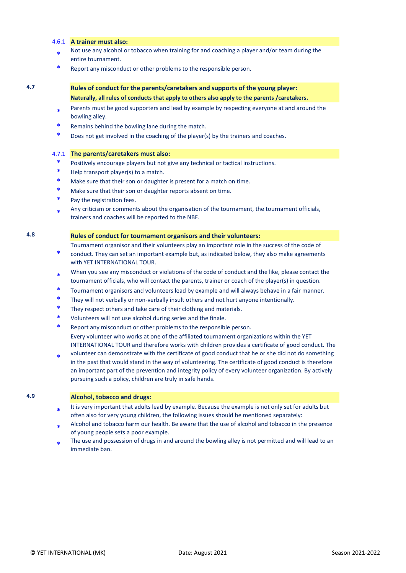#### 4.6.1 **A trainer must also:**

- \* Not use any alcohol or tobacco when training for and coaching a player and/or team during the entire tournament.
- \* Report any misconduct or other problems to the responsible person.

# **4.7 Rules of conduct for the parents/caretakers and supports of the young player: Naturally, all rules of conducts that apply to others also apply to the parents /caretakers.**

- \* Parents must be good supporters and lead by example by respecting everyone at and around the bowling alley.
- Remains behind the bowling lane during the match.
- Does not get involved in the coaching of the player(s) by the trainers and coaches.

#### 4.7.1 **The parents/caretakers must also:**

- Positively encourage players but not give any technical or tactical instructions.
- Help transport player(s) to a match.
- Make sure that their son or daughter is present for a match on time.
- Make sure that their son or daughter reports absent on time.
- Pay the registration fees.
- \* Any criticism or comments about the organisation of the tournament, the tournament officials, trainers and coaches will be reported to the NBF.

#### **4.8 Rules of conduct for tournament organisors and their volunteers:**

Tournament organisor and their volunteers play an important role in the success of the code of

- **\*** conduct. They can set an important example but, as indicated below, they also make agreements with YET INTERNATIONAL TOUR.
- \* When you see any misconduct or violations of the code of conduct and the like, please contact the tournament officials, who will contact the parents, trainer or coach of the player(s) in question.
- Tournament organisors and volunteers lead by example and will always behave in a fair manner.
- They will not verbally or non-verbally insult others and not hurt anyone intentionally.
- They respect others and take care of their clothing and materials.
- Volunteers will not use alcohol during series and the finale.
- Report any misconduct or other problems to the responsible person. Every volunteer who works at one of the affiliated tournament organizations within the YET INTERNATIONAL TOUR and therefore works with children provides a certificate of good conduct. The
- \* volunteer can demonstrate with the certificate of good conduct that he or she did not do something in the past that would stand in the way of volunteering. The certificate of good conduct is therefore an important part of the prevention and integrity policy of every volunteer organization. By actively pursuing such a policy, children are truly in safe hands.

### **4.9 Alcohol, tobacco and drugs:**

- **\*** It is very important that adults lead by example. Because the example is not only set for adults but often also for very young children, the following issues should be mentioned separately:
- \* Alcohol and tobacco harm our health. Be aware that the use of alcohol and tobacco in the presence of young people sets a poor example.
- \* The use and possession of drugs in and around the bowling alley is not permitted and will lead to an immediate ban.